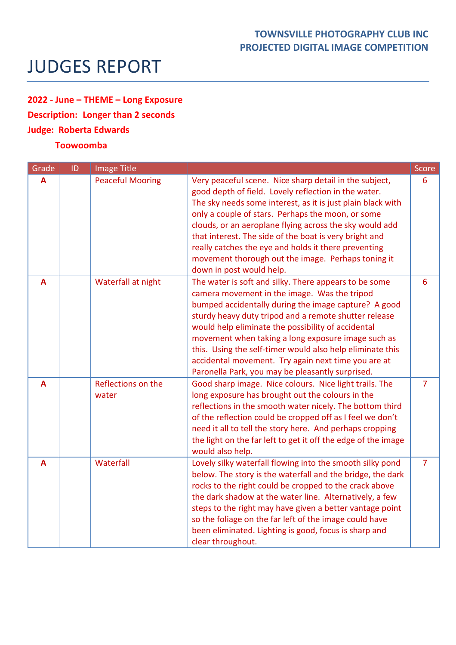## **TOWNSVILLE PHOTOGRAPHY CLUB INC PROJECTED DIGITAL IMAGE COMPETITION**

## JUDGES REPORT

## **2022 - June – THEME – Long Exposure Description: Longer than 2 seconds Judge: Roberta Edwards**

## **Toowoomba**

| Grade | ID | Image Title                 |                                                                                                                                                                                                                                                                                                                                                                                                                                                                                                            | Score           |
|-------|----|-----------------------------|------------------------------------------------------------------------------------------------------------------------------------------------------------------------------------------------------------------------------------------------------------------------------------------------------------------------------------------------------------------------------------------------------------------------------------------------------------------------------------------------------------|-----------------|
| A     |    | <b>Peaceful Mooring</b>     | Very peaceful scene. Nice sharp detail in the subject,<br>good depth of field. Lovely reflection in the water.<br>The sky needs some interest, as it is just plain black with<br>only a couple of stars. Perhaps the moon, or some<br>clouds, or an aeroplane flying across the sky would add<br>that interest. The side of the boat is very bright and<br>really catches the eye and holds it there preventing<br>movement thorough out the image. Perhaps toning it<br>down in post would help.          | 6               |
| A     |    | Waterfall at night          | The water is soft and silky. There appears to be some<br>camera movement in the image. Was the tripod<br>bumped accidentally during the image capture? A good<br>sturdy heavy duty tripod and a remote shutter release<br>would help eliminate the possibility of accidental<br>movement when taking a long exposure image such as<br>this. Using the self-timer would also help eliminate this<br>accidental movement. Try again next time you are at<br>Paronella Park, you may be pleasantly surprised. | $6\overline{6}$ |
| A     |    | Reflections on the<br>water | Good sharp image. Nice colours. Nice light trails. The<br>long exposure has brought out the colours in the<br>reflections in the smooth water nicely. The bottom third<br>of the reflection could be cropped off as I feel we don't<br>need it all to tell the story here. And perhaps cropping<br>the light on the far left to get it off the edge of the image<br>would also help.                                                                                                                       | $\overline{7}$  |
| A     |    | Waterfall                   | Lovely silky waterfall flowing into the smooth silky pond<br>below. The story is the waterfall and the bridge, the dark<br>rocks to the right could be cropped to the crack above<br>the dark shadow at the water line. Alternatively, a few<br>steps to the right may have given a better vantage point<br>so the foliage on the far left of the image could have<br>been eliminated. Lighting is good, focus is sharp and<br>clear throughout.                                                           | $\overline{7}$  |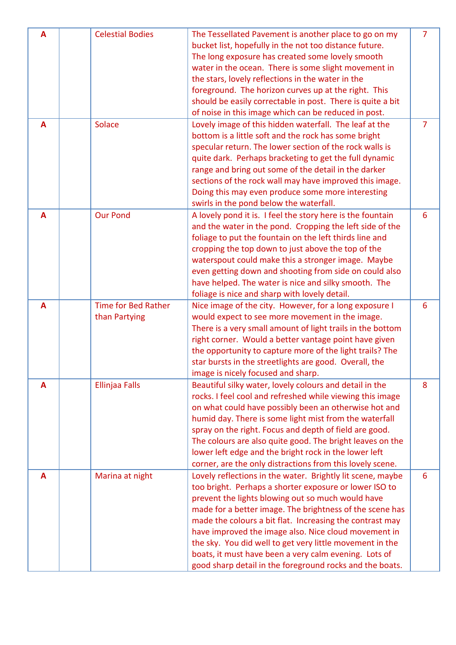| A              | <b>Celestial Bodies</b>    | The Tessellated Pavement is another place to go on my      | $\overline{7}$ |
|----------------|----------------------------|------------------------------------------------------------|----------------|
|                |                            | bucket list, hopefully in the not too distance future.     |                |
|                |                            | The long exposure has created some lovely smooth           |                |
|                |                            | water in the ocean. There is some slight movement in       |                |
|                |                            | the stars, lovely reflections in the water in the          |                |
|                |                            | foreground. The horizon curves up at the right. This       |                |
|                |                            | should be easily correctable in post. There is quite a bit |                |
|                |                            | of noise in this image which can be reduced in post.       |                |
| A              | Solace                     | Lovely image of this hidden waterfall. The leaf at the     | $\overline{7}$ |
|                |                            | bottom is a little soft and the rock has some bright       |                |
|                |                            | specular return. The lower section of the rock walls is    |                |
|                |                            | quite dark. Perhaps bracketing to get the full dynamic     |                |
|                |                            | range and bring out some of the detail in the darker       |                |
|                |                            | sections of the rock wall may have improved this image.    |                |
|                |                            | Doing this may even produce some more interesting          |                |
|                |                            | swirls in the pond below the waterfall.                    |                |
| A              | <b>Our Pond</b>            | A lovely pond it is. I feel the story here is the fountain | 6              |
|                |                            | and the water in the pond. Cropping the left side of the   |                |
|                |                            | foliage to put the fountain on the left thirds line and    |                |
|                |                            | cropping the top down to just above the top of the         |                |
|                |                            | waterspout could make this a stronger image. Maybe         |                |
|                |                            | even getting down and shooting from side on could also     |                |
|                |                            | have helped. The water is nice and silky smooth. The       |                |
|                |                            | foliage is nice and sharp with lovely detail.              |                |
| $\overline{A}$ | <b>Time for Bed Rather</b> | Nice image of the city. However, for a long exposure I     | 6              |
|                | than Partying              | would expect to see more movement in the image.            |                |
|                |                            | There is a very small amount of light trails in the bottom |                |
|                |                            | right corner. Would a better vantage point have given      |                |
|                |                            | the opportunity to capture more of the light trails? The   |                |
|                |                            | star bursts in the streetlights are good. Overall, the     |                |
|                |                            | image is nicely focused and sharp.                         |                |
| A              | Ellinjaa Falls             | Beautiful silky water, lovely colours and detail in the    | 8              |
|                |                            | rocks. I feel cool and refreshed while viewing this image  |                |
|                |                            | on what could have possibly been an otherwise hot and      |                |
|                |                            | humid day. There is some light mist from the waterfall     |                |
|                |                            | spray on the right. Focus and depth of field are good.     |                |
|                |                            | The colours are also quite good. The bright leaves on the  |                |
|                |                            | lower left edge and the bright rock in the lower left      |                |
|                |                            | corner, are the only distractions from this lovely scene.  |                |
| A              | Marina at night            | Lovely reflections in the water. Brightly lit scene, maybe | 6              |
|                |                            | too bright. Perhaps a shorter exposure or lower ISO to     |                |
|                |                            | prevent the lights blowing out so much would have          |                |
|                |                            | made for a better image. The brightness of the scene has   |                |
|                |                            | made the colours a bit flat. Increasing the contrast may   |                |
|                |                            | have improved the image also. Nice cloud movement in       |                |
|                |                            | the sky. You did well to get very little movement in the   |                |
|                |                            | boats, it must have been a very calm evening. Lots of      |                |
|                |                            | good sharp detail in the foreground rocks and the boats.   |                |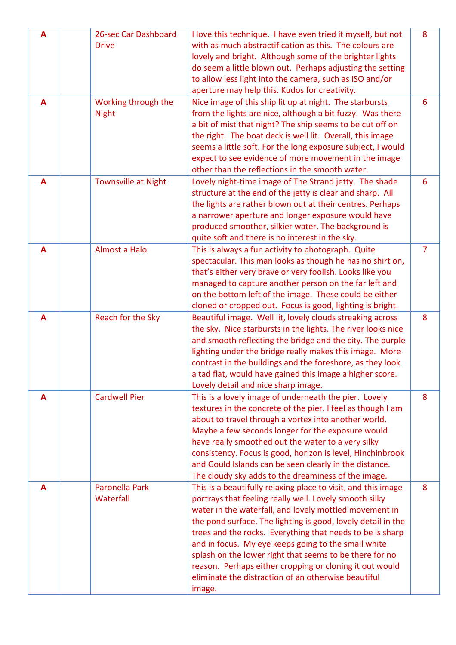| A | 26-sec Car Dashboard       | I love this technique. I have even tried it myself, but not                                     | 8              |
|---|----------------------------|-------------------------------------------------------------------------------------------------|----------------|
|   | <b>Drive</b>               | with as much abstractification as this. The colours are                                         |                |
|   |                            | lovely and bright. Although some of the brighter lights                                         |                |
|   |                            | do seem a little blown out. Perhaps adjusting the setting                                       |                |
|   |                            | to allow less light into the camera, such as ISO and/or                                         |                |
|   |                            | aperture may help this. Kudos for creativity.                                                   |                |
| A | Working through the        | Nice image of this ship lit up at night. The starbursts                                         | 6              |
|   | <b>Night</b>               | from the lights are nice, although a bit fuzzy. Was there                                       |                |
|   |                            | a bit of mist that night? The ship seems to be cut off on                                       |                |
|   |                            | the right. The boat deck is well lit. Overall, this image                                       |                |
|   |                            | seems a little soft. For the long exposure subject, I would                                     |                |
|   |                            | expect to see evidence of more movement in the image                                            |                |
|   |                            | other than the reflections in the smooth water.                                                 |                |
| A | <b>Townsville at Night</b> | Lovely night-time image of The Strand jetty. The shade                                          | 6              |
|   |                            | structure at the end of the jetty is clear and sharp. All                                       |                |
|   |                            | the lights are rather blown out at their centres. Perhaps                                       |                |
|   |                            | a narrower aperture and longer exposure would have                                              |                |
|   |                            | produced smoother, silkier water. The background is                                             |                |
|   |                            | quite soft and there is no interest in the sky.                                                 |                |
| A | Almost a Halo              | This is always a fun activity to photograph. Quite                                              | $\overline{7}$ |
|   |                            | spectacular. This man looks as though he has no shirt on,                                       |                |
|   |                            | that's either very brave or very foolish. Looks like you                                        |                |
|   |                            | managed to capture another person on the far left and                                           |                |
|   |                            | on the bottom left of the image. These could be either                                          |                |
|   |                            | cloned or cropped out. Focus is good, lighting is bright.                                       |                |
| A | Reach for the Sky          | Beautiful image. Well lit, lovely clouds streaking across                                       | 8              |
|   |                            | the sky. Nice starbursts in the lights. The river looks nice                                    |                |
|   |                            | and smooth reflecting the bridge and the city. The purple                                       |                |
|   |                            | lighting under the bridge really makes this image. More                                         |                |
|   |                            | contrast in the buildings and the foreshore, as they look                                       |                |
|   |                            | a tad flat, would have gained this image a higher score.<br>Lovely detail and nice sharp image. |                |
| A | <b>Cardwell Pier</b>       | This is a lovely image of underneath the pier. Lovely                                           | 8              |
|   |                            | textures in the concrete of the pier. I feel as though I am                                     |                |
|   |                            | about to travel through a vortex into another world.                                            |                |
|   |                            | Maybe a few seconds longer for the exposure would                                               |                |
|   |                            | have really smoothed out the water to a very silky                                              |                |
|   |                            | consistency. Focus is good, horizon is level, Hinchinbrook                                      |                |
|   |                            | and Gould Islands can be seen clearly in the distance.                                          |                |
|   |                            | The cloudy sky adds to the dreaminess of the image.                                             |                |
| A | Paronella Park             | This is a beautifully relaxing place to visit, and this image                                   | 8              |
|   | Waterfall                  | portrays that feeling really well. Lovely smooth silky                                          |                |
|   |                            | water in the waterfall, and lovely mottled movement in                                          |                |
|   |                            | the pond surface. The lighting is good, lovely detail in the                                    |                |
|   |                            | trees and the rocks. Everything that needs to be is sharp                                       |                |
|   |                            | and in focus. My eye keeps going to the small white                                             |                |
|   |                            | splash on the lower right that seems to be there for no                                         |                |
|   |                            | reason. Perhaps either cropping or cloning it out would                                         |                |
|   |                            |                                                                                                 |                |
|   |                            | eliminate the distraction of an otherwise beautiful                                             |                |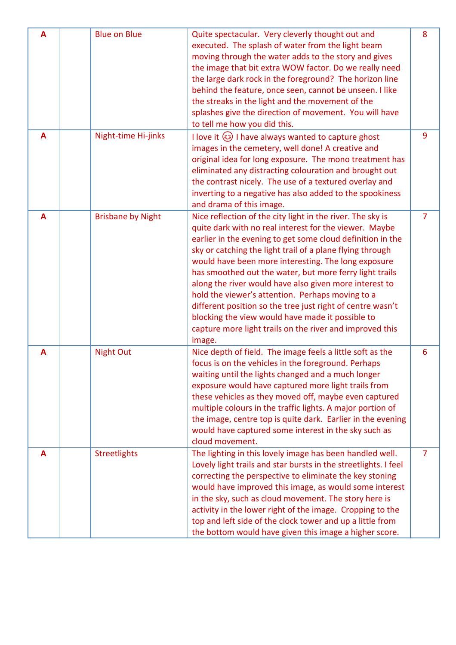| A | <b>Blue on Blue</b>      | Quite spectacular. Very cleverly thought out and<br>executed. The splash of water from the light beam<br>moving through the water adds to the story and gives<br>the image that bit extra WOW factor. Do we really need<br>the large dark rock in the foreground? The horizon line<br>behind the feature, once seen, cannot be unseen. I like<br>the streaks in the light and the movement of the<br>splashes give the direction of movement. You will have<br>to tell me how you did this.                                                                                                                                                                             | 8              |
|---|--------------------------|-------------------------------------------------------------------------------------------------------------------------------------------------------------------------------------------------------------------------------------------------------------------------------------------------------------------------------------------------------------------------------------------------------------------------------------------------------------------------------------------------------------------------------------------------------------------------------------------------------------------------------------------------------------------------|----------------|
| A | Night-time Hi-jinks      | I love it $\circled{3}$ I have always wanted to capture ghost<br>images in the cemetery, well done! A creative and<br>original idea for long exposure. The mono treatment has<br>eliminated any distracting colouration and brought out<br>the contrast nicely. The use of a textured overlay and<br>inverting to a negative has also added to the spookiness<br>and drama of this image.                                                                                                                                                                                                                                                                               | 9              |
| A | <b>Brisbane by Night</b> | Nice reflection of the city light in the river. The sky is<br>quite dark with no real interest for the viewer. Maybe<br>earlier in the evening to get some cloud definition in the<br>sky or catching the light trail of a plane flying through<br>would have been more interesting. The long exposure<br>has smoothed out the water, but more ferry light trails<br>along the river would have also given more interest to<br>hold the viewer's attention. Perhaps moving to a<br>different position so the tree just right of centre wasn't<br>blocking the view would have made it possible to<br>capture more light trails on the river and improved this<br>image. | $\overline{7}$ |
| A | <b>Night Out</b>         | Nice depth of field. The image feels a little soft as the<br>focus is on the vehicles in the foreground. Perhaps<br>waiting until the lights changed and a much longer<br>exposure would have captured more light trails from<br>these vehicles as they moved off, maybe even captured<br>multiple colours in the traffic lights. A major portion of<br>the image, centre top is quite dark. Earlier in the evening<br>would have captured some interest in the sky such as<br>cloud movement.                                                                                                                                                                          | 6              |
| A | <b>Streetlights</b>      | The lighting in this lovely image has been handled well.<br>Lovely light trails and star bursts in the streetlights. I feel<br>correcting the perspective to eliminate the key stoning<br>would have improved this image, as would some interest<br>in the sky, such as cloud movement. The story here is<br>activity in the lower right of the image. Cropping to the<br>top and left side of the clock tower and up a little from<br>the bottom would have given this image a higher score.                                                                                                                                                                           | 7              |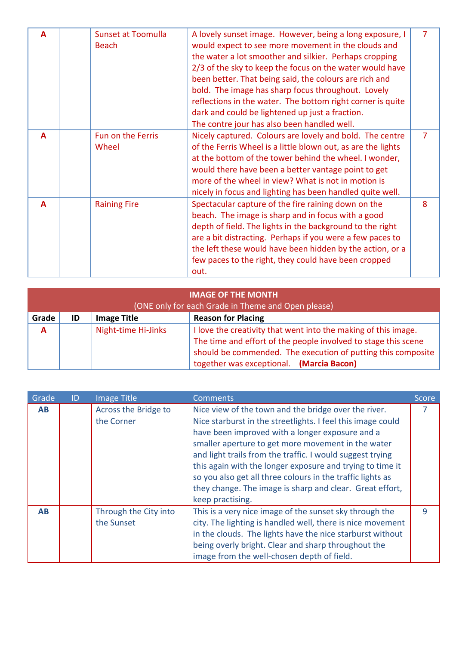| A | <b>Sunset at Toomulla</b> | A lovely sunset image. However, being a long exposure, I     | $\overline{7}$ |
|---|---------------------------|--------------------------------------------------------------|----------------|
|   | <b>Beach</b>              | would expect to see more movement in the clouds and          |                |
|   |                           | the water a lot smoother and silkier. Perhaps cropping       |                |
|   |                           | 2/3 of the sky to keep the focus on the water would have     |                |
|   |                           | been better. That being said, the colours are rich and       |                |
|   |                           | bold. The image has sharp focus throughout. Lovely           |                |
|   |                           | reflections in the water. The bottom right corner is quite   |                |
|   |                           | dark and could be lightened up just a fraction.              |                |
|   |                           | The contre jour has also been handled well.                  |                |
| A | <b>Fun on the Ferris</b>  | Nicely captured. Colours are lovely and bold. The centre     | $\overline{7}$ |
|   | Wheel                     | of the Ferris Wheel is a little blown out, as are the lights |                |
|   |                           | at the bottom of the tower behind the wheel. I wonder,       |                |
|   |                           | would there have been a better vantage point to get          |                |
|   |                           | more of the wheel in view? What is not in motion is          |                |
|   |                           | nicely in focus and lighting has been handled quite well.    |                |
| A |                           |                                                              | 8              |
|   | <b>Raining Fire</b>       | Spectacular capture of the fire raining down on the          |                |
|   |                           | beach. The image is sharp and in focus with a good           |                |
|   |                           | depth of field. The lights in the background to the right    |                |
|   |                           | are a bit distracting. Perhaps if you were a few paces to    |                |
|   |                           | the left these would have been hidden by the action, or a    |                |
|   |                           | few paces to the right, they could have been cropped         |                |
|   |                           | out.                                                         |                |

| <b>IMAGE OF THE MONTH</b><br>(ONE only for each Grade in Theme and Open please) |    |                     |                                                                                                                                                                                                                                              |
|---------------------------------------------------------------------------------|----|---------------------|----------------------------------------------------------------------------------------------------------------------------------------------------------------------------------------------------------------------------------------------|
| Grade                                                                           | ID | <b>Image Title</b>  | <b>Reason for Placing</b>                                                                                                                                                                                                                    |
| A                                                                               |    | Night-time Hi-Jinks | I love the creativity that went into the making of this image.<br>The time and effort of the people involved to stage this scene<br>should be commended. The execution of putting this composite<br>together was exceptional. (Marcia Bacon) |

| Grade     | ID | <b>Image Title</b>                  | <b>Comments</b>                                                                                                                                                                                                                                                                                                                                                                                                                                                                                      | Score |
|-----------|----|-------------------------------------|------------------------------------------------------------------------------------------------------------------------------------------------------------------------------------------------------------------------------------------------------------------------------------------------------------------------------------------------------------------------------------------------------------------------------------------------------------------------------------------------------|-------|
| <b>AB</b> |    | Across the Bridge to<br>the Corner  | Nice view of the town and the bridge over the river.<br>Nice starburst in the streetlights. I feel this image could<br>have been improved with a longer exposure and a<br>smaller aperture to get more movement in the water<br>and light trails from the traffic. I would suggest trying<br>this again with the longer exposure and trying to time it<br>so you also get all three colours in the traffic lights as<br>they change. The image is sharp and clear. Great effort,<br>keep practising. |       |
| <b>AB</b> |    | Through the City into<br>the Sunset | This is a very nice image of the sunset sky through the<br>city. The lighting is handled well, there is nice movement<br>in the clouds. The lights have the nice starburst without<br>being overly bright. Clear and sharp throughout the<br>image from the well-chosen depth of field.                                                                                                                                                                                                              | 9     |